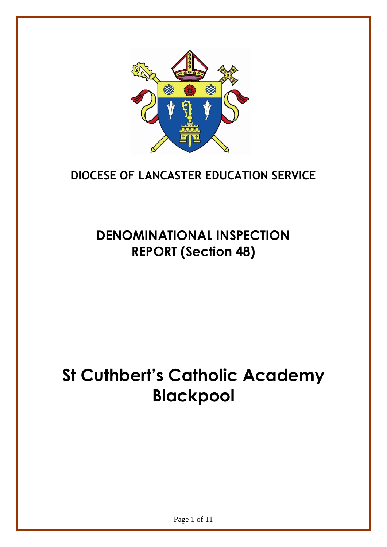

# **DIOCESE OF LANCASTER EDUCATION SERVICE**

# **DENOMINATIONAL INSPECTION REPORT (Section 48)**

# **St Cuthbert's Catholic Academy Blackpool**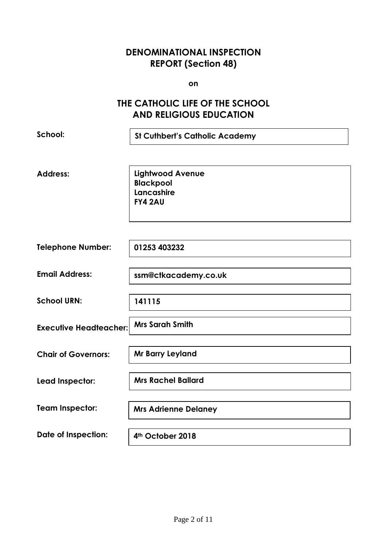## **DENOMINATIONAL INSPECTION REPORT (Section 48)**

**on**

## **THE CATHOLIC LIFE OF THE SCHOOL AND RELIGIOUS EDUCATION**

| School:                       | <b>St Cuthbert's Catholic Academy</b>                                       |
|-------------------------------|-----------------------------------------------------------------------------|
| <b>Address:</b>               | <b>Lightwood Avenue</b><br><b>Blackpool</b><br>Lancashire<br><b>FY4 2AU</b> |
| <b>Telephone Number:</b>      | 01253 403232                                                                |
| <b>Email Address:</b>         | ssm@ctkacademy.co.uk                                                        |
| <b>School URN:</b>            | 141115                                                                      |
| <b>Executive Headteacher:</b> | <b>Mrs Sarah Smith</b>                                                      |
| <b>Chair of Governors:</b>    | Mr Barry Leyland                                                            |
| Lead Inspector:               | <b>Mrs Rachel Ballard</b>                                                   |
| <b>Team Inspector:</b>        | <b>Mrs Adrienne Delaney</b>                                                 |
| <b>Date of Inspection:</b>    | 4th October 2018                                                            |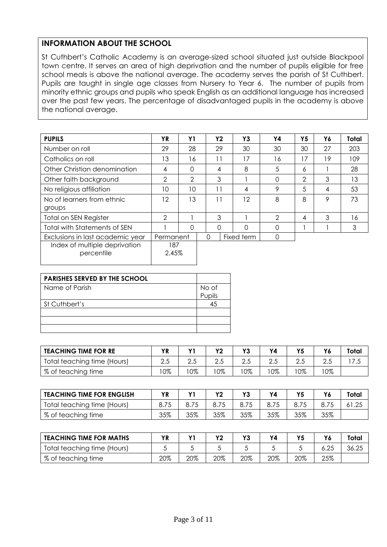#### **INFORMATION ABOUT THE SCHOOL**

St Cuthbert's Catholic Academy is an average-sized school situated just outside Blackpool town centre. It serves an area of high deprivation and the number of pupils eligible for free school meals is above the national average. The academy serves the parish of St Cuthbert. Pupils are taught in single age classes from Nursery to Year 6. The number of pupils from minority ethnic groups and pupils who speak English as an additional language has increased over the past few years. The percentage of disadvantaged pupils in the academy is above the national average.

| <b>PUPILS</b>                       | ΥR             | Y1             | <b>Y2</b> | Y3         | Υ4       | Y5             | Υ6 | Total |
|-------------------------------------|----------------|----------------|-----------|------------|----------|----------------|----|-------|
| Number on roll                      | 29             | 28             | 29        | 30         | 30       | 30             | 27 | 203   |
| Catholics on roll                   | 13             | 16             | 11        | 17         | 16       | 17             | 19 | 109   |
| Other Christian denomination        | 4              | 0              | 4         | 8          | 5        | 6              |    | 28    |
| Other faith background              | 2              | $\overline{2}$ | 3         |            | $\Omega$ | $\overline{2}$ | 3  | 13    |
| No religious affiliation            | 10             | 10             | 11        | 4          | 9        | 5              | 4  | 53    |
| No of learners from ethnic          | 12             | 13             | 11        | 12         | 8        | 8              | 9  | 73    |
| groups                              |                |                |           |            |          |                |    |       |
| <b>Total on SEN Register</b>        | $\overline{2}$ |                | 3         |            | 2        | 4              | 3  | 16    |
| <b>Total with Statements of SEN</b> |                | 0              | $\Omega$  | O          | $\Omega$ |                |    | 3     |
| Exclusions in last academic year    | Permanent      |                | 0         | Fixed term | $\Omega$ |                |    |       |
| Index of multiple deprivation       | 187            |                |           |            |          |                |    |       |
| percentile                          | 2.45%          |                |           |            |          |                |    |       |

| PARISHES SERVED BY THE SCHOOL |        |
|-------------------------------|--------|
| Name of Parish                | No of  |
|                               | Pupils |
| St Cuthbert's                 | 45     |
|                               |        |
|                               |        |
|                               |        |

| <b>TEACHING TIME FOR RE</b> | ΥR  | v1  | $\mathbf{v}$ | v.  | ٧Δ  | <b>A</b> | Y6 | Total |
|-----------------------------|-----|-----|--------------|-----|-----|----------|----|-------|
| Total teaching time (Hours) | ن.∠ |     | ے ۔          | ت.∠ |     | ں ،ے     |    | 17.5  |
| % of teaching time          | 0%  | 10% | $0\%$        | 10% | 10% | 10%      | 0% |       |

| TEACHING TIME FOR ENGLISH   | ΥR  | $\mathbf{v}$ | $\mathbf{v}$ | v.  | Y4  |     |     | Total |
|-----------------------------|-----|--------------|--------------|-----|-----|-----|-----|-------|
| Total teaching time (Hours) |     |              |              |     |     |     |     |       |
| % of teaching time          | 35% | 35%          | 35%          | 35% | 35% | 35% | 35% |       |

| <b>TEACHING TIME FOR MATHS</b> | ΥR  | $\mathbf{v}$ | v   |     |     | V E | Υ6   | Total |
|--------------------------------|-----|--------------|-----|-----|-----|-----|------|-------|
| Total teaching time (Hours)    |     |              |     |     |     |     | 6.25 | 36.25 |
| % of teaching time             | 20% | 20%          | 20% | 20% | 20% | 20% | 25%  |       |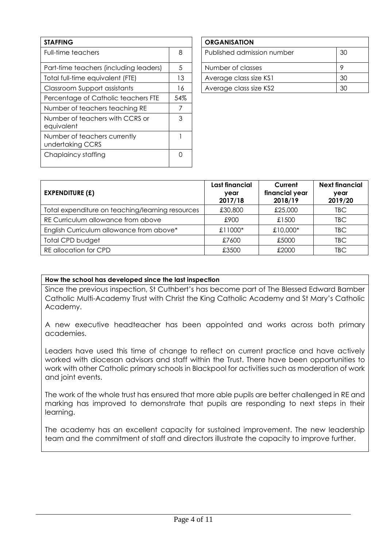| <b>STAFFING</b>                                  |     | <b>ORGANISATION</b>        |                |
|--------------------------------------------------|-----|----------------------------|----------------|
| Full-time teachers                               | 8   | Published admission number | 3 <sub>C</sub> |
| Part-time teachers (including leaders)           | 5   | Number of classes          | 9              |
| Total full-time equivalent (FTE)                 | 13  | Average class size KS1     | 3C             |
| Classroom Support assistants                     | 16  | Average class size KS2     | 3C             |
| Percentage of Catholic teachers FTE              | 54% |                            |                |
| Number of teachers teaching RE                   | 7   |                            |                |
| Number of teachers with CCRS or<br>equivalent    | 3   |                            |                |
| Number of teachers currently<br>undertaking CCRS |     |                            |                |
| Chaplaincy staffing                              | 0   |                            |                |

| <b>ORGANISATION</b>        |    |
|----------------------------|----|
| Published admission number | 30 |
| Number of classes          | Q  |
| Average class size KS1     | 30 |
| Average class size KS2     | ৭∩ |

| <b>EXPENDITURE (£)</b>                           | Last financial<br>year<br>2017/18 | Current<br>financial year<br>2018/19 | <b>Next financial</b><br>year<br>2019/20 |
|--------------------------------------------------|-----------------------------------|--------------------------------------|------------------------------------------|
| Total expenditure on teaching/learning resources | £30,800                           | £25,000                              | <b>TBC</b>                               |
| RE Curriculum allowance from above               | £900                              | £1500                                | <b>TBC</b>                               |
| English Curriculum allowance from above*         | £11000 $*$                        | £10,000*                             | <b>TBC</b>                               |
| <b>Total CPD budget</b>                          | £7600                             | £5000                                | <b>TBC</b>                               |
| RE allocation for CPD                            | £3500                             | £2000                                | TBC                                      |

#### **How the school has developed since the last inspection**

Since the previous inspection, St Cuthbert's has become part of The Blessed Edward Bamber Catholic Multi-Academy Trust with Christ the King Catholic Academy and St Mary's Catholic Academy.

A new executive headteacher has been appointed and works across both primary academies.

Leaders have used this time of change to reflect on current practice and have actively worked with diocesan advisors and staff within the Trust. There have been opportunities to work with other Catholic primary schools in Blackpool for activities such as moderation of work and joint events.

The work of the whole trust has ensured that more able pupils are better challenged in RE and marking has improved to demonstrate that pupils are responding to next steps in their learning.

The academy has an excellent capacity for sustained improvement. The new leadership team and the commitment of staff and directors illustrate the capacity to improve further.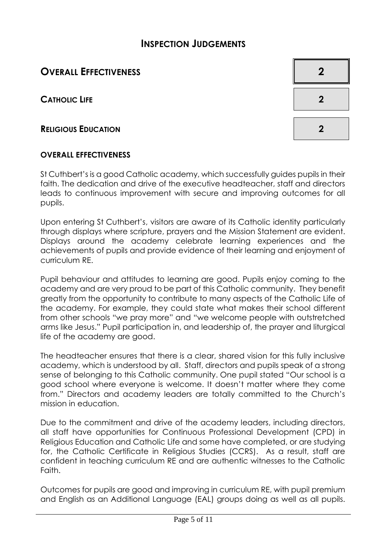# **INSPECTION JUDGEMENTS**

# **OVERALL EFFECTIVENESS 2**

**CATHOLIC LIFE 2**

**RELIGIOUS EDUCATION 2**

#### **OVERALL EFFECTIVENESS**

St Cuthbert's is a good Catholic academy, which successfully guides pupils in their faith. The dedication and drive of the executive headteacher, staff and directors leads to continuous improvement with secure and improving outcomes for all pupils.

Upon entering St Cuthbert's, visitors are aware of its Catholic identity particularly through displays where scripture, prayers and the Mission Statement are evident. Displays around the academy celebrate learning experiences and the achievements of pupils and provide evidence of their learning and enjoyment of curriculum RE.

Pupil behaviour and attitudes to learning are good. Pupils enjoy coming to the academy and are very proud to be part of this Catholic community. They benefit greatly from the opportunity to contribute to many aspects of the Catholic Life of the academy. For example, they could state what makes their school different from other schools "we pray more" and "we welcome people with outstretched arms like Jesus." Pupil participation in, and leadership of, the prayer and liturgical life of the academy are good.

The headteacher ensures that there is a clear, shared vision for this fully inclusive academy, which is understood by all. Staff, directors and pupils speak of a strong sense of belonging to this Catholic community. One pupil stated "Our school is a good school where everyone is welcome. It doesn't matter where they come from." Directors and academy leaders are totally committed to the Church's mission in education.

Due to the commitment and drive of the academy leaders, including directors, all staff have opportunities for Continuous Professional Development (CPD) in Religious Education and Catholic Life and some have completed, or are studying for, the Catholic Certificate in Religious Studies (CCRS). As a result, staff are confident in teaching curriculum RE and are authentic witnesses to the Catholic Faith.

Outcomes for pupils are good and improving in curriculum RE, with pupil premium and English as an Additional Language (EAL) groups doing as well as all pupils.

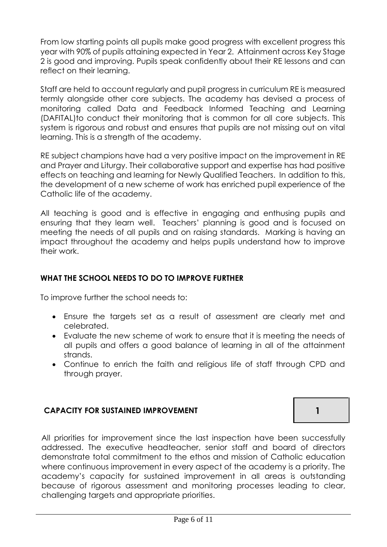From low starting points all pupils make good progress with excellent progress this year with 90% of pupils attaining expected in Year 2. Attainment across Key Stage 2 is good and improving. Pupils speak confidently about their RE lessons and can reflect on their learning.

Staff are held to account regularly and pupil progress in curriculum RE is measured termly alongside other core subjects. The academy has devised a process of monitoring called Data and Feedback Informed Teaching and Learning (DAFITAL)to conduct their monitoring that is common for all core subjects. This system is rigorous and robust and ensures that pupils are not missing out on vital learning. This is a strength of the academy.

RE subject champions have had a very positive impact on the improvement in RE and Prayer and Liturgy. Their collaborative support and expertise has had positive effects on teaching and learning for Newly Qualified Teachers. In addition to this, the development of a new scheme of work has enriched pupil experience of the Catholic life of the academy.

All teaching is good and is effective in engaging and enthusing pupils and ensuring that they learn well. Teachers' planning is good and is focused on meeting the needs of all pupils and on raising standards. Marking is having an impact throughout the academy and helps pupils understand how to improve their work.

#### **WHAT THE SCHOOL NEEDS TO DO TO IMPROVE FURTHER**

To improve further the school needs to:

- Ensure the targets set as a result of assessment are clearly met and celebrated.
- Evaluate the new scheme of work to ensure that it is meeting the needs of all pupils and offers a good balance of learning in all of the attainment strands.
- Continue to enrich the faith and religious life of staff through CPD and through prayer.

#### **CAPACITY FOR SUSTAINED IMPROVEMENT 1**

All priorities for improvement since the last inspection have been successfully addressed. The executive headteacher, senior staff and board of directors demonstrate total commitment to the ethos and mission of Catholic education where continuous improvement in every aspect of the academy is a priority. The academy's capacity for sustained improvement in all areas is outstanding because of rigorous assessment and monitoring processes leading to clear, challenging targets and appropriate priorities.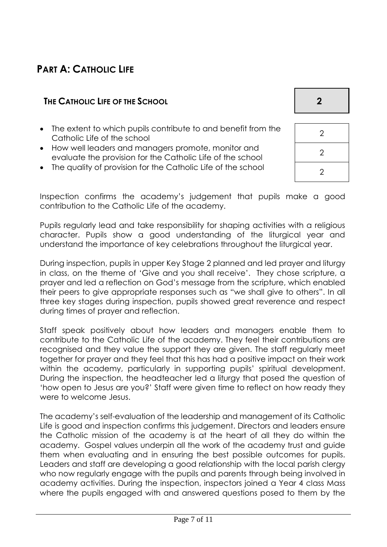# **PART A: CATHOLIC LIFE**

#### **THE CATHOLIC LIFE OF THE SCHOOL 2**

- The extent to which pupils contribute to and benefit from the Catholic Life of the school
- How well leaders and managers promote, monitor and evaluate the provision for the Catholic Life of the school <sup>2</sup>
- The quality of provision for the Catholic Life of the school  $\overline{\hspace{1cm}}_2$

| $\overline{2}$ |  |
|----------------|--|
| $\overline{2}$ |  |

Inspection confirms the academy's judgement that pupils make a good contribution to the Catholic Life of the academy.

Pupils regularly lead and take responsibility for shaping activities with a religious character. Pupils show a good understanding of the liturgical year and understand the importance of key celebrations throughout the liturgical year.

During inspection, pupils in upper Key Stage 2 planned and led prayer and liturgy in class, on the theme of 'Give and you shall receive'. They chose scripture, a prayer and led a reflection on God's message from the scripture, which enabled their peers to give appropriate responses such as "we shall give to others". In all three key stages during inspection, pupils showed great reverence and respect during times of prayer and reflection.

Staff speak positively about how leaders and managers enable them to contribute to the Catholic Life of the academy. They feel their contributions are recognised and they value the support they are given. The staff regularly meet together for prayer and they feel that this has had a positive impact on their work within the academy, particularly in supporting pupils' spiritual development. During the inspection, the headteacher led a liturgy that posed the question of 'how open to Jesus are you?' Staff were given time to reflect on how ready they were to welcome Jesus.

The academy's self-evaluation of the leadership and management of its Catholic Life is good and inspection confirms this judgement. Directors and leaders ensure the Catholic mission of the academy is at the heart of all they do within the academy. Gospel values underpin all the work of the academy trust and guide them when evaluating and in ensuring the best possible outcomes for pupils. Leaders and staff are developing a good relationship with the local parish clergy who now regularly engage with the pupils and parents through being involved in academy activities. During the inspection, inspectors joined a Year 4 class Mass where the pupils engaged with and answered questions posed to them by the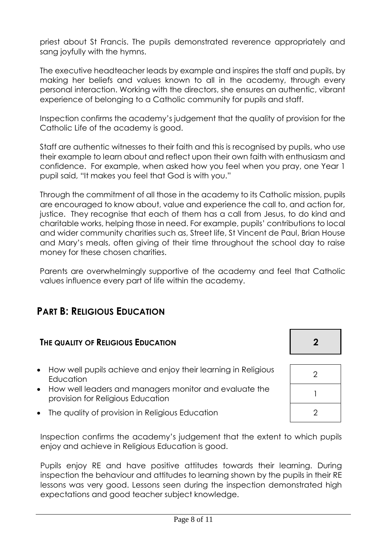priest about St Francis. The pupils demonstrated reverence appropriately and sang joyfully with the hymns.

The executive headteacher leads by example and inspires the staff and pupils, by making her beliefs and values known to all in the academy, through every personal interaction. Working with the directors, she ensures an authentic, vibrant experience of belonging to a Catholic community for pupils and staff.

Inspection confirms the academy's judgement that the quality of provision for the Catholic Life of the academy is good.

Staff are authentic witnesses to their faith and this is recognised by pupils, who use their example to learn about and reflect upon their own faith with enthusiasm and confidence. For example, when asked how you feel when you pray, one Year 1 pupil said, "It makes you feel that God is with you."

Through the commitment of all those in the academy to its Catholic mission, pupils are encouraged to know about, value and experience the call to, and action for, justice. They recognise that each of them has a call from Jesus, to do kind and charitable works, helping those in need. For example, pupils' contributions to local and wider community charities such as, Street life, St Vincent de Paul, Brian House and Mary's meals, often giving of their time throughout the school day to raise money for these chosen charities.

Parents are overwhelmingly supportive of the academy and feel that Catholic values influence every part of life within the academy.

# **PART B: RELIGIOUS EDUCATION**

#### **THE QUALITY OF RELIGIOUS EDUCATION 2**

- How well pupils achieve and enjoy their learning in Religious Education<sup>2</sup>
- How well leaders and managers monitor and evaluate the provision for Religious Education <sup>1</sup>
- The quality of provision in Religious Education **2** 2

Inspection confirms the academy's judgement that the extent to which pupils enjoy and achieve in Religious Education is good.

Pupils enjoy RE and have positive attitudes towards their learning. During inspection the behaviour and attitudes to learning shown by the pupils in their RE lessons was very good. Lessons seen during the inspection demonstrated high expectations and good teacher subject knowledge.

| <u>_</u>       |  |
|----------------|--|
|                |  |
| $\overline{2}$ |  |
|                |  |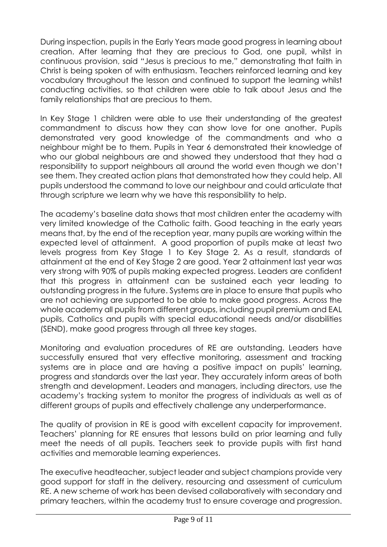During inspection, pupils in the Early Years made good progress in learning about creation. After learning that they are precious to God, one pupil, whilst in continuous provision, said "Jesus is precious to me," demonstrating that faith in Christ is being spoken of with enthusiasm. Teachers reinforced learning and key vocabulary throughout the lesson and continued to support the learning whilst conducting activities, so that children were able to talk about Jesus and the family relationships that are precious to them.

In Key Stage 1 children were able to use their understanding of the greatest commandment to discuss how they can show love for one another. Pupils demonstrated very good knowledge of the commandments and who a neighbour might be to them. Pupils in Year 6 demonstrated their knowledge of who our global neighbours are and showed they understood that they had a responsibility to support neighbours all around the world even though we don't see them. They created action plans that demonstrated how they could help. All pupils understood the command to love our neighbour and could articulate that through scripture we learn why we have this responsibility to help.

The academy's baseline data shows that most children enter the academy with very limited knowledge of the Catholic faith. Good teaching in the early years means that, by the end of the reception year, many pupils are working within the expected level of attainment. A good proportion of pupils make at least two levels progress from Key Stage 1 to Key Stage 2. As a result, standards of attainment at the end of Key Stage 2 are good. Year 2 attainment last year was very strong with 90% of pupils making expected progress. Leaders are confident that this progress in attainment can be sustained each year leading to outstanding progress in the future. Systems are in place to ensure that pupils who are not achieving are supported to be able to make good progress. Across the whole academy all pupils from different groups, including pupil premium and EAL pupils, Catholics and pupils with special educational needs and/or disabilities (SEND), make good progress through all three key stages.

Monitoring and evaluation procedures of RE are outstanding. Leaders have successfully ensured that very effective monitoring, assessment and tracking systems are in place and are having a positive impact on pupils' learning, progress and standards over the last year. They accurately inform areas of both strength and development. Leaders and managers, including directors, use the academy's tracking system to monitor the progress of individuals as well as of different groups of pupils and effectively challenge any underperformance.

The quality of provision in RE is good with excellent capacity for improvement. Teachers' planning for RE ensures that lessons build on prior learning and fully meet the needs of all pupils. Teachers seek to provide pupils with first hand activities and memorable learning experiences.

The executive headteacher, subject leader and subject champions provide very good support for staff in the delivery, resourcing and assessment of curriculum RE. A new scheme of work has been devised collaboratively with secondary and primary teachers, within the academy trust to ensure coverage and progression.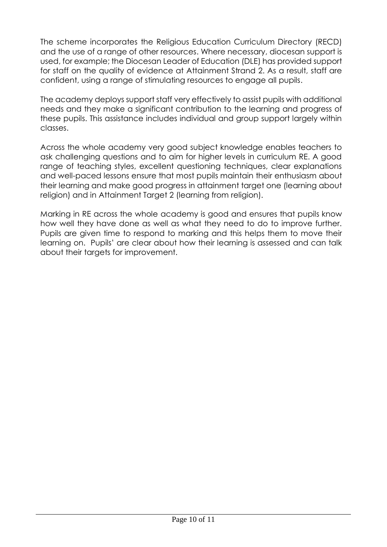The scheme incorporates the Religious Education Curriculum Directory (RECD) and the use of a range of other resources. Where necessary, diocesan support is used, for example; the Diocesan Leader of Education (DLE) has provided support for staff on the quality of evidence at Attainment Strand 2. As a result, staff are confident, using a range of stimulating resources to engage all pupils.

The academy deploys support staff very effectively to assist pupils with additional needs and they make a significant contribution to the learning and progress of these pupils. This assistance includes individual and group support largely within classes.

Across the whole academy very good subject knowledge enables teachers to ask challenging questions and to aim for higher levels in curriculum RE. A good range of teaching styles, excellent questioning techniques, clear explanations and well-paced lessons ensure that most pupils maintain their enthusiasm about their learning and make good progress in attainment target one (learning about religion) and in Attainment Target 2 (learning from religion).

Marking in RE across the whole academy is good and ensures that pupils know how well they have done as well as what they need to do to improve further. Pupils are given time to respond to marking and this helps them to move their learning on. Pupils' are clear about how their learning is assessed and can talk about their targets for improvement.